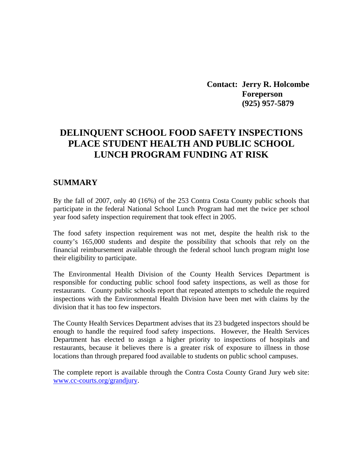**Contact: Jerry R. Holcombe Foreperson (925) 957-5879** 

# **DELINQUENT SCHOOL FOOD SAFETY INSPECTIONS PLACE STUDENT HEALTH AND PUBLIC SCHOOL LUNCH PROGRAM FUNDING AT RISK**

#### **SUMMARY**

By the fall of 2007, only 40 (16%) of the 253 Contra Costa County public schools that participate in the federal National School Lunch Program had met the twice per school year food safety inspection requirement that took effect in 2005.

The food safety inspection requirement was not met, despite the health risk to the county's 165,000 students and despite the possibility that schools that rely on the financial reimbursement available through the federal school lunch program might lose their eligibility to participate.

The Environmental Health Division of the County Health Services Department is responsible for conducting public school food safety inspections, as well as those for restaurants. County public schools report that repeated attempts to schedule the required inspections with the Environmental Health Division have been met with claims by the division that it has too few inspectors.

The County Health Services Department advises that its 23 budgeted inspectors should be enough to handle the required food safety inspections. However, the Health Services Department has elected to assign a higher priority to inspections of hospitals and restaurants, because it believes there is a greater risk of exposure to illness in those locations than through prepared food available to students on public school campuses.

The complete report is available through the Contra Costa County Grand Jury web site: [www.cc-courts.org/grandjury.](http://www.cc-courts.org/grandjury)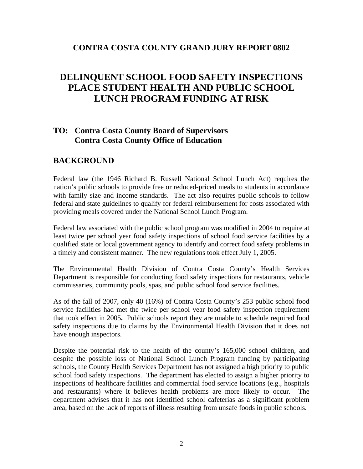### **CONTRA COSTA COUNTY GRAND JURY REPORT 0802**

# **DELINQUENT SCHOOL FOOD SAFETY INSPECTIONS PLACE STUDENT HEALTH AND PUBLIC SCHOOL LUNCH PROGRAM FUNDING AT RISK**

# **TO: Contra Costa County Board of Supervisors Contra Costa County Office of Education**

## **BACKGROUND**

Federal law (the 1946 Richard B. Russell National School Lunch Act) requires the nation's public schools to provide free or reduced-priced meals to students in accordance with family size and income standards. The act also requires public schools to follow federal and state guidelines to qualify for federal reimbursement for costs associated with providing meals covered under the National School Lunch Program.

Federal law associated with the public school program was modified in 2004 to require at least twice per school year food safety inspections of school food service facilities by a qualified state or local government agency to identify and correct food safety problems in a timely and consistent manner. The new regulations took effect July 1, 2005.

The Environmental Health Division of Contra Costa County's Health Services Department is responsible for conducting food safety inspections for restaurants, vehicle commissaries, community pools, spas, and public school food service facilities.

As of the fall of 2007, only 40 (16%) of Contra Costa County's 253 public school food service facilities had met the twice per school year food safety inspection requirement that took effect in 2005**.** Public schools report they are unable to schedule required food safety inspections due to claims by the Environmental Health Division that it does not have enough inspectors.

Despite the potential risk to the health of the county's 165,000 school children, and despite the possible loss of National School Lunch Program funding by participating schools, the County Health Services Department has not assigned a high priority to public school food safety inspections. The department has elected to assign a higher priority to inspections of healthcare facilities and commercial food service locations (e.g., hospitals and restaurants) where it believes health problems are more likely to occur. The department advises that it has not identified school cafeterias as a significant problem area, based on the lack of reports of illness resulting from unsafe foods in public schools.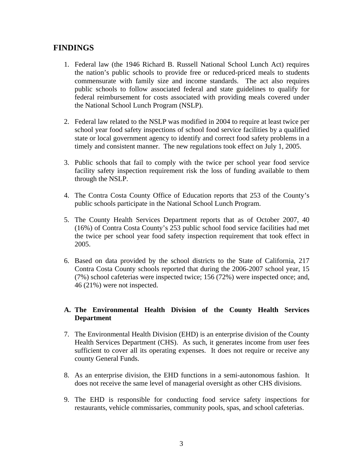# **FINDINGS**

- 1. Federal law (the 1946 Richard B. Russell National School Lunch Act) requires the nation's public schools to provide free or reduced-priced meals to students commensurate with family size and income standards. The act also requires public schools to follow associated federal and state guidelines to qualify for federal reimbursement for costs associated with providing meals covered under the National School Lunch Program (NSLP).
- 2. Federal law related to the NSLP was modified in 2004 to require at least twice per school year food safety inspections of school food service facilities by a qualified state or local government agency to identify and correct food safety problems in a timely and consistent manner. The new regulations took effect on July 1, 2005.
- 3. Public schools that fail to comply with the twice per school year food service facility safety inspection requirement risk the loss of funding available to them through the NSLP.
- 4. The Contra Costa County Office of Education reports that 253 of the County's public schools participate in the National School Lunch Program.
- 5. The County Health Services Department reports that as of October 2007, 40 (16%) of Contra Costa County's 253 public school food service facilities had met the twice per school year food safety inspection requirement that took effect in 2005.
- 6. Based on data provided by the school districts to the State of California, 217 Contra Costa County schools reported that during the 2006-2007 school year, 15 (7%) school cafeterias were inspected twice; 156 (72%) were inspected once; and, 46 (21%) were not inspected.

#### **A. The Environmental Health Division of the County Health Services Department**

- 7. The Environmental Health Division (EHD) is an enterprise division of the County Health Services Department (CHS). As such, it generates income from user fees sufficient to cover all its operating expenses. It does not require or receive any county General Funds.
- 8. As an enterprise division, the EHD functions in a semi-autonomous fashion. It does not receive the same level of managerial oversight as other CHS divisions.
- 9. The EHD is responsible for conducting food service safety inspections for restaurants, vehicle commissaries, community pools, spas, and school cafeterias.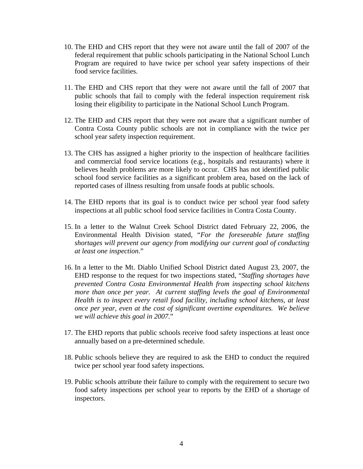- 10. The EHD and CHS report that they were not aware until the fall of 2007 of the federal requirement that public schools participating in the National School Lunch Program are required to have twice per school year safety inspections of their food service facilities.
- 11. The EHD and CHS report that they were not aware until the fall of 2007 that public schools that fail to comply with the federal inspection requirement risk losing their eligibility to participate in the National School Lunch Program.
- 12. The EHD and CHS report that they were not aware that a significant number of Contra Costa County public schools are not in compliance with the twice per school year safety inspection requirement.
- 13. The CHS has assigned a higher priority to the inspection of healthcare facilities and commercial food service locations (e.g., hospitals and restaurants) where it believes health problems are more likely to occur. CHS has not identified public school food service facilities as a significant problem area, based on the lack of reported cases of illness resulting from unsafe foods at public schools.
- 14. The EHD reports that its goal is to conduct twice per school year food safety inspections at all public school food service facilities in Contra Costa County.
- 15. In a letter to the Walnut Creek School District dated February 22, 2006, the Environmental Health Division stated, "*For the foreseeable future staffing shortages will prevent our agency from modifying our current goal of conducting at least one inspection*."
- 16. In a letter to the Mt. Diablo Unified School District dated August 23, 2007, the EHD response to the request for two inspections stated, "*Staffing shortages have prevented Contra Costa Environmental Health from inspecting school kitchens more than once per year. At current staffing levels the goal of Environmental Health is to inspect every retail food facility, including school kitchens, at least once per year, even at the cost of significant overtime expenditures. We believe we will achieve this goal in 2007*."
- 17. The EHD reports that public schools receive food safety inspections at least once annually based on a pre-determined schedule.
- 18. Public schools believe they are required to ask the EHD to conduct the required twice per school year food safety inspections.
- 19. Public schools attribute their failure to comply with the requirement to secure two food safety inspections per school year to reports by the EHD of a shortage of inspectors.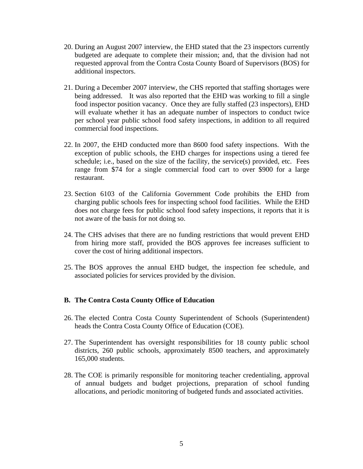- 20. During an August 2007 interview, the EHD stated that the 23 inspectors currently budgeted are adequate to complete their mission; and, that the division had not requested approval from the Contra Costa County Board of Supervisors (BOS) for additional inspectors.
- 21. During a December 2007 interview, the CHS reported that staffing shortages were being addressed. It was also reported that the EHD was working to fill a single food inspector position vacancy. Once they are fully staffed (23 inspectors), EHD will evaluate whether it has an adequate number of inspectors to conduct twice per school year public school food safety inspections, in addition to all required commercial food inspections.
- 22. In 2007, the EHD conducted more than 8600 food safety inspections. With the exception of public schools, the EHD charges for inspections using a tiered fee schedule; i.e., based on the size of the facility, the service(s) provided, etc. Fees range from \$74 for a single commercial food cart to over \$900 for a large restaurant.
- 23. Section 6103 of the California Government Code prohibits the EHD from charging public schools fees for inspecting school food facilities. While the EHD does not charge fees for public school food safety inspections, it reports that it is not aware of the basis for not doing so.
- 24. The CHS advises that there are no funding restrictions that would prevent EHD from hiring more staff, provided the BOS approves fee increases sufficient to cover the cost of hiring additional inspectors.
- 25. The BOS approves the annual EHD budget, the inspection fee schedule, and associated policies for services provided by the division.

#### **B. The Contra Costa County Office of Education**

- 26. The elected Contra Costa County Superintendent of Schools (Superintendent) heads the Contra Costa County Office of Education (COE).
- 27. The Superintendent has oversight responsibilities for 18 county public school districts, 260 public schools, approximately 8500 teachers, and approximately 165,000 students.
- 28. The COE is primarily responsible for monitoring teacher credentialing, approval of annual budgets and budget projections, preparation of school funding allocations, and periodic monitoring of budgeted funds and associated activities.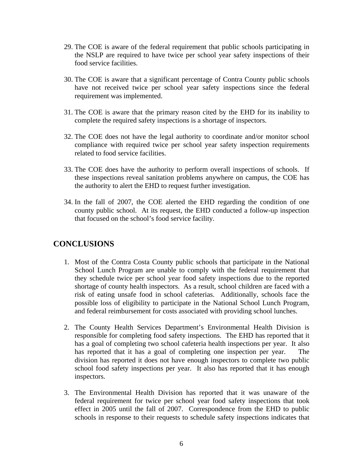- 29. The COE is aware of the federal requirement that public schools participating in the NSLP are required to have twice per school year safety inspections of their food service facilities.
- 30. The COE is aware that a significant percentage of Contra County public schools have not received twice per school year safety inspections since the federal requirement was implemented.
- 31. The COE is aware that the primary reason cited by the EHD for its inability to complete the required safety inspections is a shortage of inspectors.
- 32. The COE does not have the legal authority to coordinate and/or monitor school compliance with required twice per school year safety inspection requirements related to food service facilities.
- 33. The COE does have the authority to perform overall inspections of schools. If these inspections reveal sanitation problems anywhere on campus, the COE has the authority to alert the EHD to request further investigation.
- 34. In the fall of 2007, the COE alerted the EHD regarding the condition of one county public school. At its request, the EHD conducted a follow-up inspection that focused on the school's food service facility.

# **CONCLUSIONS**

- 1. Most of the Contra Costa County public schools that participate in the National School Lunch Program are unable to comply with the federal requirement that they schedule twice per school year food safety inspections due to the reported shortage of county health inspectors. As a result, school children are faced with a risk of eating unsafe food in school cafeterias. Additionally, schools face the possible loss of eligibility to participate in the National School Lunch Program, and federal reimbursement for costs associated with providing school lunches.
- 2. The County Health Services Department's Environmental Health Division is responsible for completing food safety inspections. The EHD has reported that it has a goal of completing two school cafeteria health inspections per year. It also has reported that it has a goal of completing one inspection per year. The division has reported it does not have enough inspectors to complete two public school food safety inspections per year. It also has reported that it has enough inspectors.
- 3. The Environmental Health Division has reported that it was unaware of the federal requirement for twice per school year food safety inspections that took effect in 2005 until the fall of 2007. Correspondence from the EHD to public schools in response to their requests to schedule safety inspections indicates that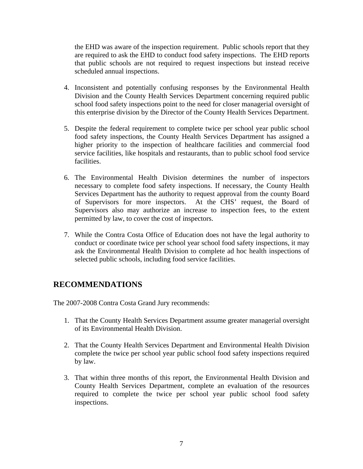the EHD was aware of the inspection requirement. Public schools report that they are required to ask the EHD to conduct food safety inspections. The EHD reports that public schools are not required to request inspections but instead receive scheduled annual inspections.

- 4. Inconsistent and potentially confusing responses by the Environmental Health Division and the County Health Services Department concerning required public school food safety inspections point to the need for closer managerial oversight of this enterprise division by the Director of the County Health Services Department.
- 5. Despite the federal requirement to complete twice per school year public school food safety inspections, the County Health Services Department has assigned a higher priority to the inspection of healthcare facilities and commercial food service facilities, like hospitals and restaurants, than to public school food service facilities.
- 6. The Environmental Health Division determines the number of inspectors necessary to complete food safety inspections. If necessary, the County Health Services Department has the authority to request approval from the county Board of Supervisors for more inspectors. At the CHS' request, the Board of Supervisors also may authorize an increase to inspection fees, to the extent permitted by law, to cover the cost of inspectors.
- 7. While the Contra Costa Office of Education does not have the legal authority to conduct or coordinate twice per school year school food safety inspections, it may ask the Environmental Health Division to complete ad hoc health inspections of selected public schools, including food service facilities.

# **RECOMMENDATIONS**

The 2007-2008 Contra Costa Grand Jury recommends:

- 1. That the County Health Services Department assume greater managerial oversight of its Environmental Health Division.
- 2. That the County Health Services Department and Environmental Health Division complete the twice per school year public school food safety inspections required by law.
- 3. That within three months of this report, the Environmental Health Division and County Health Services Department, complete an evaluation of the resources required to complete the twice per school year public school food safety inspections.